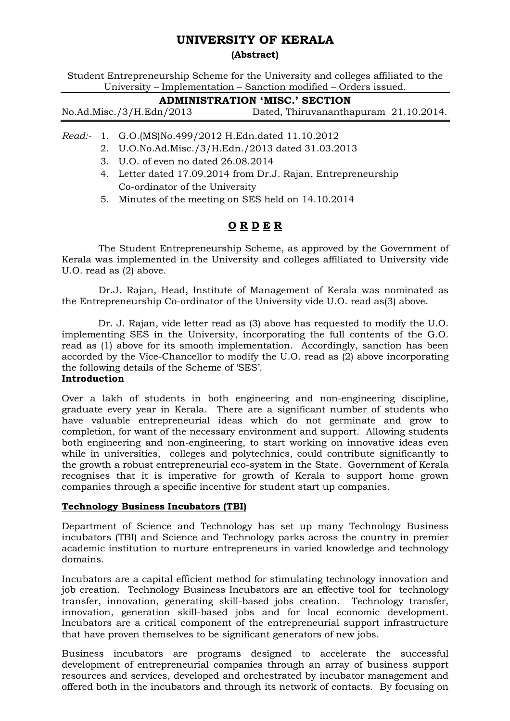# UNIVERSITY OF KERALA

# (Abstract)

Student Entrepreneurship Scheme for the University and colleges affiliated to the University – Implementation – Sanction modified – Orders issued.

| <b>ADMINISTRATION 'MISC.' SECTION</b> |                                       |  |  |  |
|---------------------------------------|---------------------------------------|--|--|--|
| No.Ad.Misc./3/H.Edn/2013              | Dated, Thiruvananthapuram 21.10.2014. |  |  |  |

- Read:- 1. G.O.(MS)No.499/2012 H.Edn.dated 11.10.2012
	- 2. U.O.No.Ad.Misc./3/H.Edn./2013 dated 31.03.2013
	- 3. U.O. of even no dated 26.08.2014
	- 4. Letter dated 17.09.2014 from Dr.J. Rajan, Entrepreneurship Co-ordinator of the University
	- 5. Minutes of the meeting on SES held on 14.10.2014

# O R D E R

 The Student Entrepreneurship Scheme, as approved by the Government of Kerala was implemented in the University and colleges affiliated to University vide U.O. read as (2) above.

 Dr.J. Rajan, Head, Institute of Management of Kerala was nominated as the Entrepreneurship Co-ordinator of the University vide U.O. read as(3) above.

 Dr. J. Rajan, vide letter read as (3) above has requested to modify the U.O. implementing SES in the University, incorporating the full contents of the G.O. read as (1) above for its smooth implementation. Accordingly, sanction has been accorded by the Vice-Chancellor to modify the U.O. read as (2) above incorporating the following details of the Scheme of 'SES'.

# Introduction

Over a lakh of students in both engineering and non-engineering discipline, graduate every year in Kerala. There are a significant number of students who have valuable entrepreneurial ideas which do not germinate and grow to completion, for want of the necessary environment and support. Allowing students both engineering and non-engineering, to start working on innovative ideas even while in universities, colleges and polytechnics, could contribute significantly to the growth a robust entrepreneurial eco-system in the State. Government of Kerala recognises that it is imperative for growth of Kerala to support home grown companies through a specific incentive for student start up companies.

# Technology Business Incubators (TBI)

Department of Science and Technology has set up many Technology Business incubators (TBI) and Science and Technology parks across the country in premier academic institution to nurture entrepreneurs in varied knowledge and technology domains.

Incubators are a capital efficient method for stimulating technology innovation and job creation. Technology Business Incubators are an effective tool for technology transfer, innovation, generating skill-based jobs creation. Technology transfer, innovation, generation skill-based jobs and for local economic development. Incubators are a critical component of the entrepreneurial support infrastructure that have proven themselves to be significant generators of new jobs.

Business incubators are programs designed to accelerate the successful development of entrepreneurial companies through an array of business support resources and services, developed and orchestrated by incubator management and offered both in the incubators and through its network of contacts. By focusing on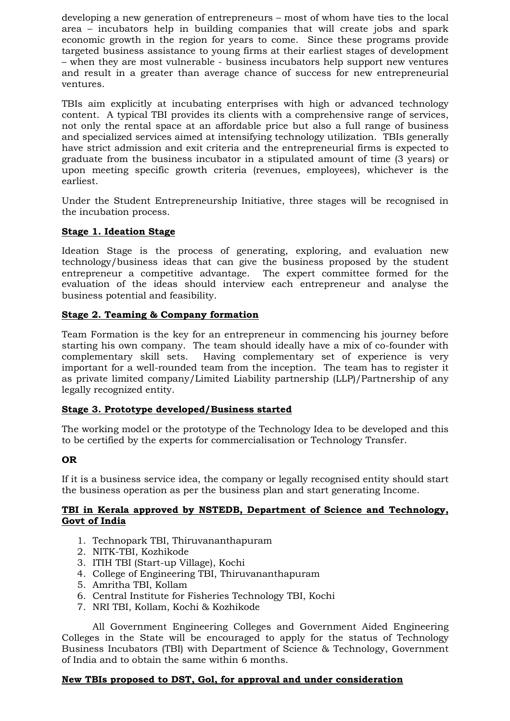developing a new generation of entrepreneurs – most of whom have ties to the local area – incubators help in building companies that will create jobs and spark economic growth in the region for years to come. Since these programs provide targeted business assistance to young firms at their earliest stages of development – when they are most vulnerable - business incubators help support new ventures and result in a greater than average chance of success for new entrepreneurial ventures.

TBIs aim explicitly at incubating enterprises with high or advanced technology content. A typical TBI provides its clients with a comprehensive range of services, not only the rental space at an affordable price but also a full range of business and specialized services aimed at intensifying technology utilization. TBIs generally have strict admission and exit criteria and the entrepreneurial firms is expected to graduate from the business incubator in a stipulated amount of time (3 years) or upon meeting specific growth criteria (revenues, employees), whichever is the earliest.

Under the Student Entrepreneurship Initiative, three stages will be recognised in the incubation process.

# Stage 1. Ideation Stage

Ideation Stage is the process of generating, exploring, and evaluation new technology/business ideas that can give the business proposed by the student entrepreneur a competitive advantage. The expert committee formed for the evaluation of the ideas should interview each entrepreneur and analyse the business potential and feasibility.

# Stage 2. Teaming & Company formation

Team Formation is the key for an entrepreneur in commencing his journey before starting his own company. The team should ideally have a mix of co-founder with complementary skill sets. Having complementary set of experience is very important for a well-rounded team from the inception. The team has to register it as private limited company/Limited Liability partnership (LLP)/Partnership of any legally recognized entity.

#### Stage 3. Prototype developed/Business started

The working model or the prototype of the Technology Idea to be developed and this to be certified by the experts for commercialisation or Technology Transfer.

# OR

If it is a business service idea, the company or legally recognised entity should start the business operation as per the business plan and start generating Income.

#### TBI in Kerala approved by NSTEDB, Department of Science and Technology, Govt of India

- 1. Technopark TBI, Thiruvananthapuram
- 2. NITK-TBI, Kozhikode
- 3. ITIH TBI (Start-up Village), Kochi
- 4. College of Engineering TBI, Thiruvananthapuram
- 5. Amritha TBI, Kollam
- 6. Central Institute for Fisheries Technology TBI, Kochi
- 7. NRI TBI, Kollam, Kochi & Kozhikode

 All Government Engineering Colleges and Government Aided Engineering Colleges in the State will be encouraged to apply for the status of Technology Business Incubators (TBI) with Department of Science & Technology, Government of India and to obtain the same within 6 months.

# New TBIs proposed to DST, Gol, for approval and under consideration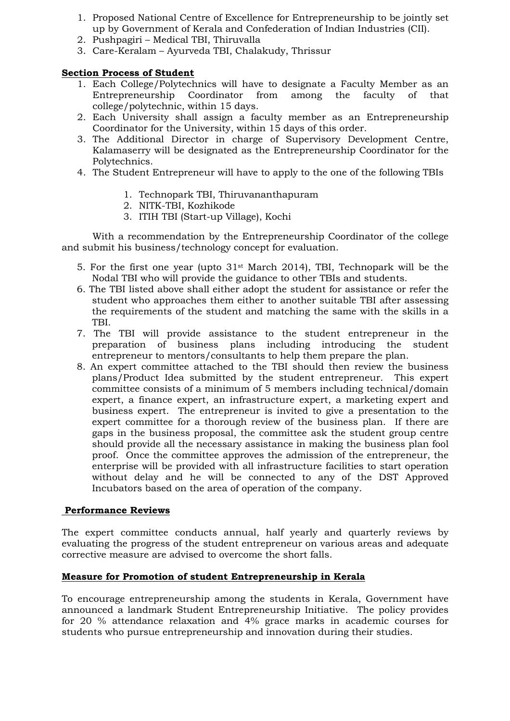- 1. Proposed National Centre of Excellence for Entrepreneurship to be jointly set up by Government of Kerala and Confederation of Indian Industries (CII).
- 2. Pushpagiri Medical TBI, Thiruvalla
- 3. Care-Keralam Ayurveda TBI, Chalakudy, Thrissur

# Section Process of Student

- 1. Each College/Polytechnics will have to designate a Faculty Member as an Entrepreneurship Coordinator from among the faculty of that college/polytechnic, within 15 days.
- 2. Each University shall assign a faculty member as an Entrepreneurship Coordinator for the University, within 15 days of this order.
- 3. The Additional Director in charge of Supervisory Development Centre, Kalamaserry will be designated as the Entrepreneurship Coordinator for the Polytechnics.
- 4. The Student Entrepreneur will have to apply to the one of the following TBIs
	- 1. Technopark TBI, Thiruvananthapuram
	- 2. NITK-TBI, Kozhikode
	- 3. ITIH TBI (Start-up Village), Kochi

 With a recommendation by the Entrepreneurship Coordinator of the college and submit his business/technology concept for evaluation.

- 5. For the first one year (upto  $31<sup>st</sup>$  March 2014), TBI, Technopark will be the Nodal TBI who will provide the guidance to other TBIs and students.
- 6. The TBI listed above shall either adopt the student for assistance or refer the student who approaches them either to another suitable TBI after assessing the requirements of the student and matching the same with the skills in a TBI.
- 7. The TBI will provide assistance to the student entrepreneur in the preparation of business plans including introducing the student entrepreneur to mentors/consultants to help them prepare the plan.
- 8. An expert committee attached to the TBI should then review the business plans/Product Idea submitted by the student entrepreneur. This expert committee consists of a minimum of 5 members including technical/domain expert, a finance expert, an infrastructure expert, a marketing expert and business expert. The entrepreneur is invited to give a presentation to the expert committee for a thorough review of the business plan. If there are gaps in the business proposal, the committee ask the student group centre should provide all the necessary assistance in making the business plan fool proof. Once the committee approves the admission of the entrepreneur, the enterprise will be provided with all infrastructure facilities to start operation without delay and he will be connected to any of the DST Approved Incubators based on the area of operation of the company.

# Performance Reviews

The expert committee conducts annual, half yearly and quarterly reviews by evaluating the progress of the student entrepreneur on various areas and adequate corrective measure are advised to overcome the short falls.

# Measure for Promotion of student Entrepreneurship in Kerala

To encourage entrepreneurship among the students in Kerala, Government have announced a landmark Student Entrepreneurship Initiative. The policy provides for 20 % attendance relaxation and 4% grace marks in academic courses for students who pursue entrepreneurship and innovation during their studies.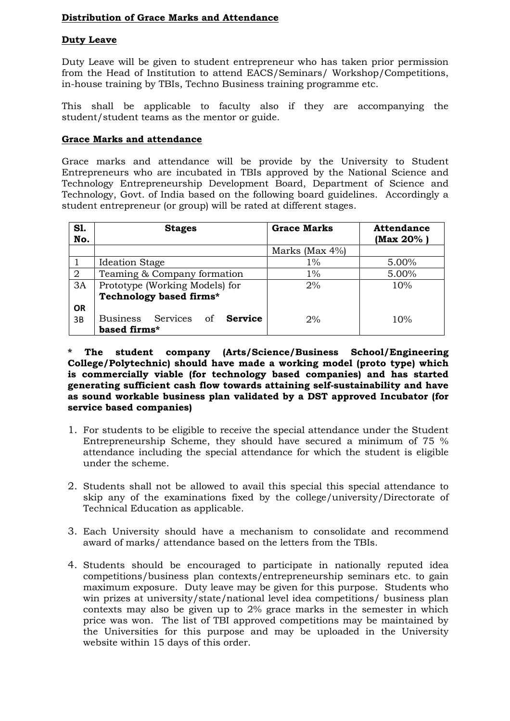# Distribution of Grace Marks and Attendance

# Duty Leave

Duty Leave will be given to student entrepreneur who has taken prior permission from the Head of Institution to attend EACS/Seminars/ Workshop/Competitions, in-house training by TBIs, Techno Business training programme etc.

This shall be applicable to faculty also if they are accompanying the student/student teams as the mentor or guide.

#### Grace Marks and attendance

Grace marks and attendance will be provide by the University to Student Entrepreneurs who are incubated in TBIs approved by the National Science and Technology Entrepreneurship Development Board, Department of Science and Technology, Govt. of India based on the following board guidelines. Accordingly a student entrepreneur (or group) will be rated at different stages.

| S1.<br>No. | <b>Stages</b>                                 | <b>Grace Marks</b> | <b>Attendance</b><br>(Max 20% ) |  |  |
|------------|-----------------------------------------------|--------------------|---------------------------------|--|--|
|            |                                               | Marks (Max 4%)     |                                 |  |  |
|            | <b>Ideation Stage</b>                         | $1\%$              | 5.00%                           |  |  |
| 2          | Teaming & Company formation                   | $1\%$              | 5.00%                           |  |  |
| 3A         | Prototype (Working Models) for                | 2%                 | 10%                             |  |  |
|            | Technology based firms*                       |                    |                                 |  |  |
| <b>OR</b>  |                                               |                    |                                 |  |  |
| 3B         | Services of <b>Service</b><br><b>Business</b> | 2%                 | 10%                             |  |  |
|            | based firms*                                  |                    |                                 |  |  |

\* The student company (Arts/Science/Business School/Engineering College/Polytechnic) should have made a working model (proto type) which is commercially viable (for technology based companies) and has started generating sufficient cash flow towards attaining self-sustainability and have as sound workable business plan validated by a DST approved Incubator (for service based companies)

- 1. For students to be eligible to receive the special attendance under the Student Entrepreneurship Scheme, they should have secured a minimum of 75 % attendance including the special attendance for which the student is eligible under the scheme.
- 2. Students shall not be allowed to avail this special this special attendance to skip any of the examinations fixed by the college/university/Directorate of Technical Education as applicable.
- 3. Each University should have a mechanism to consolidate and recommend award of marks/ attendance based on the letters from the TBIs.
- 4. Students should be encouraged to participate in nationally reputed idea competitions/business plan contexts/entrepreneurship seminars etc. to gain maximum exposure. Duty leave may be given for this purpose. Students who win prizes at university/state/national level idea competitions/ business plan contexts may also be given up to 2% grace marks in the semester in which price was won. The list of TBI approved competitions may be maintained by the Universities for this purpose and may be uploaded in the University website within 15 days of this order.